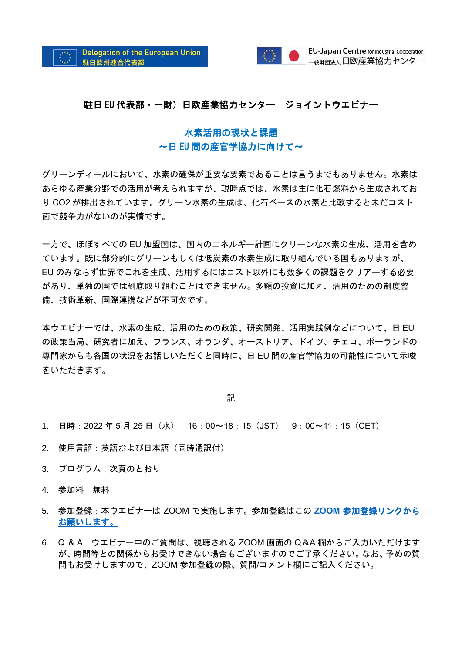

## 駐日 EU 代表部・一財)日欧産業協力センター ジョイントウエビナー

## 水素活用の現状と課題 ~日 EU 間の産官学協力に向けて~

グリーンディールにおいて、水素の確保が重要な要素であることは言うまでもありません。水素は あらゆる産業分野での活用が考えられますが、現時点では、水素は主に化石燃料から生成されてお り CO2 が排出されています。グリーン水素の生成は、化石ベースの水素と比較すると未だコスト 面で競争力がないのが実情です。

一方で、ほぼすべての EU 加盟国は、国内のエネルギー計画にクリーンな水素の生成、活用を含め ています。既に部分的にグリーンもしくは低炭素の水素生成に取り組んでいる国もありますが、 EU のみならず世界でこれを生成、活用するにはコスト以外にも数多くの課題をクリアーする必要 があり、単独の国では到底取り組むことはできません。多額の投資に加え、活用のための制度整 備、技術革新、国際連携などが不可欠です。

本ウエビナーでは、水素の生成、活用のための政策、研究開発、活用実践例などについて、日 EU の政策当局、研究者に加え、フランス、オランダ、オーストリア、ドイツ、チェコ、ポーランドの 専門家からも各国の状況をお話しいただくと同時に、日 EU 間の産官学協力の可能性について示唆 をいただきます。

記

- 1. 日時:2022 年 5 月 25 日(水) 16:00~18:15(JST) 9:00~11:15(CET)
- 2. 使用言語:英語および日本語 (同時通訳付)
- 3. プログラム:次頁のとおり
- 4. 参加料:無料
- 5. 参加登録:本ウエビナーは ZOOM で実施します。参加登録はこの **ZOOM** [参加登録リンクから](https://us06web.zoom.us/webinar/register/WN_3PedfnR2QY-hBzsmY1jA8g) [お願いします。](https://us06web.zoom.us/webinar/register/WN_3PedfnR2QY-hBzsmY1jA8g)
- 6. Q & A:ウエビナー中のご質問は、視聴される ZOOM 画面の Q&A 欄からご入力いただけます が、時間等との関係からお受けできない場合もございますのでご了承ください。なお、予めの質 問もお受けしますので、ZOOM 参加登録の際、質問/コメント欄にご記入ください。